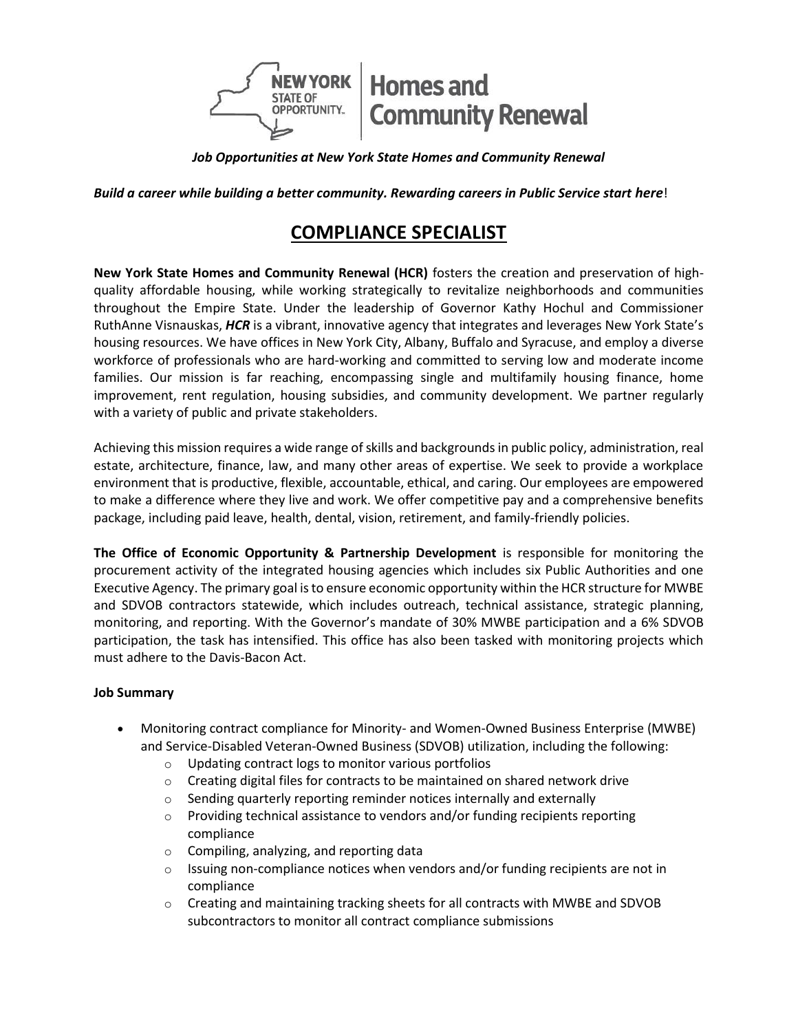

*Job Opportunities at New York State Homes and Community Renewal*

**Build a career while building a better community. Rewarding careers in Public Service start here!** 

# **COMPLIANCE SPECIALIST**

**New York State Homes and Community Renewal (HCR)** fosters the creation and preservation of highquality affordable housing, while working strategically to revitalize neighborhoods and communities throughout the Empire State. Under the leadership of Governor Kathy Hochul and Commissioner RuthAnne Visnauskas, *HCR* is a vibrant, innovative agency that integrates and leverages New York State's housing resources. We have offices in New York City, Albany, Buffalo and Syracuse, and employ a diverse workforce of professionals who are hard-working and committed to serving low and moderate income families. Our mission is far reaching, encompassing single and multifamily housing finance, home improvement, rent regulation, housing subsidies, and community development. We partner regularly with a variety of public and private stakeholders.

Achieving this mission requires a wide range of skills and backgrounds in public policy, administration, real estate, architecture, finance, law, and many other areas of expertise. We seek to provide a workplace environment that is productive, flexible, accountable, ethical, and caring. Our employees are empowered to make a difference where they live and work. We offer competitive pay and a comprehensive benefits package, including paid leave, health, dental, vision, retirement, and family-friendly policies.

**The Office of Economic Opportunity & Partnership Development** is responsible for monitoring the procurement activity of the integrated housing agencies which includes six Public Authorities and one Executive Agency. The primary goal is to ensure economic opportunity within the HCR structure for MWBE and SDVOB contractors statewide, which includes outreach, technical assistance, strategic planning, monitoring, and reporting. With the Governor's mandate of 30% MWBE participation and a 6% SDVOB participation, the task has intensified. This office has also been tasked with monitoring projects which must adhere to the Davis-Bacon Act.

## **Job Summary**

- Monitoring contract compliance for Minority- and Women-Owned Business Enterprise (MWBE) and Service-Disabled Veteran-Owned Business (SDVOB) utilization, including the following:
	- o Updating contract logs to monitor various portfolios
	- o Creating digital files for contracts to be maintained on shared network drive
	- o Sending quarterly reporting reminder notices internally and externally
	- o Providing technical assistance to vendors and/or funding recipients reporting compliance
	- $\circ$  Compiling, analyzing, and reporting data
	- $\circ$  Issuing non-compliance notices when vendors and/or funding recipients are not in compliance
	- o Creating and maintaining tracking sheets for all contracts with MWBE and SDVOB subcontractors to monitor all contract compliance submissions